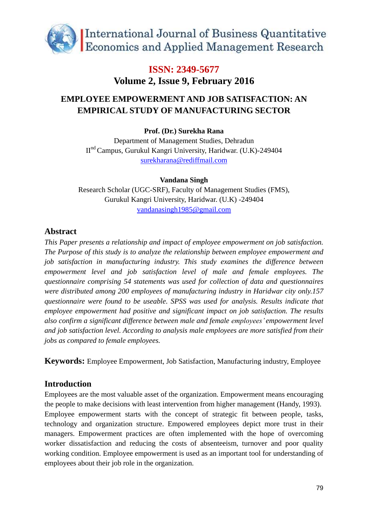

## **EMPLOYEE EMPOWERMENT AND JOB SATISFACTION: AN EMPIRICAL STUDY OF MANUFACTURING SECTOR**

#### **Prof. (Dr.) Surekha Rana**

Department of Management Studies, Dehradun IInd Campus, Gurukul Kangri University, Haridwar. (U.K)-249404 [surekharana@rediffmail.com](mailto:surekharana@rediffmail.com)

#### **Vandana Singh**

Research Scholar (UGC-SRF), Faculty of Management Studies (FMS), Gurukul Kangri University, Haridwar. (U.K) -249404 [vandanasingh1985@gmail.com](mailto:vandanasingh1985@gmail.com)

### **Abstract**

*This Paper presents a relationship and impact of employee empowerment on job satisfaction. The Purpose of this study is to analyze the relationship between employee empowerment and job satisfaction in manufacturing industry. This study examines the difference between empowerment level and job satisfaction level of male and female employees. The questionnaire comprising 54 statements was used for collection of data and questionnaires were distributed among 200 employees of manufacturing industry in Haridwar city only.157 questionnaire were found to be useable. SPSS was used for analysis. Results indicate that employee empowerment had positive and significant impact on job satisfaction. The results also confirm a significant difference between male and female employees' empowerment level and job satisfaction level. According to analysis male employees are more satisfied from their jobs as compared to female employees.*

**Keywords:** Employee Empowerment, Job Satisfaction, Manufacturing industry, Employee

### **Introduction**

Employees are the most valuable asset of the organization. Empowerment means encouraging the people to make decisions with least intervention from higher management (Handy, 1993). Employee empowerment starts with the concept of strategic fit between people, tasks, technology and organization structure. Empowered employees depict more trust in their managers. Empowerment practices are often implemented with the hope of overcoming worker dissatisfaction and reducing the costs of absenteeism, turnover and poor quality working condition. Employee empowerment is used as an important tool for understanding of employees about their job role in the organization.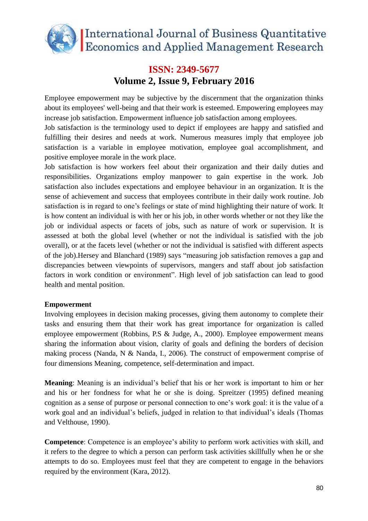

Employee empowerment may be subjective by the discernment that the organization thinks about its employees' well-being and that their work is esteemed. Empowering employees may increase job satisfaction. Empowerment influence job satisfaction among employees.

Job satisfaction is the terminology used to depict if employees are happy and satisfied and fulfilling their desires and needs at work. Numerous measures imply that employee job satisfaction is a variable in employee motivation, employee goal accomplishment, and positive employee morale in the work place.

Job satisfaction is how workers feel about their organization and their daily duties and responsibilities. Organizations employ manpower to gain expertise in the work. Job satisfaction also includes expectations and employee behaviour in an organization. It is the sense of achievement and success that employees contribute in their daily work routine. Job satisfaction is in regard to one's feelings or state of mind highlighting their nature of work. It is how content an individual is with her or his job, in other words whether or not they like the job or individual aspects or facets of jobs, such as nature of work or supervision. It is assessed at both the global level (whether or not the individual is satisfied with the job overall), or at the facets level (whether or not the individual is satisfied with different aspects of the job).Hersey and Blanchard (1989) says "measuring job satisfaction removes a gap and discrepancies between viewpoints of supervisors, mangers and staff about job satisfaction factors in work condition or environment". High level of job satisfaction can lead to good health and mental position.

#### **Empowerment**

Involving employees in decision making processes, giving them autonomy to complete their tasks and ensuring them that their work has great importance for organization is called employee empowerment (Robbins, P.S & Judge, A., 2000). Employee empowerment means sharing the information about vision, clarity of goals and defining the borders of decision making process (Nanda, N & Nanda, I., 2006). The construct of empowerment comprise of four dimensions Meaning, competence, self-determination and impact.

**Meaning**: Meaning is an individual's belief that his or her work is important to him or her and his or her fondness for what he or she is doing. Spreitzer (1995) defined meaning cognition as a sense of purpose or personal connection to one's work goal: it is the value of a work goal and an individual's beliefs, judged in relation to that individual's ideals (Thomas and Velthouse, 1990).

**Competence**: Competence is an employee's ability to perform work activities with skill, and it refers to the degree to which a person can perform task activities skillfully when he or she attempts to do so. Employees must feel that they are competent to engage in the behaviors required by the environment (Kara, 2012).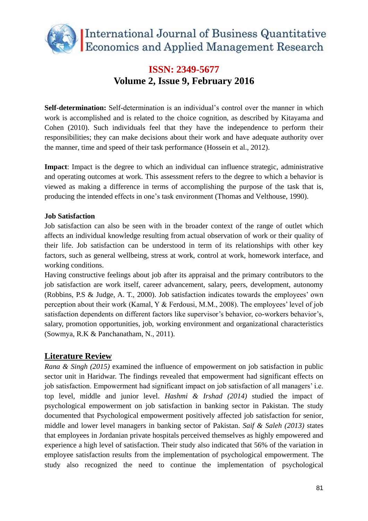

**Self-determination:** Self-determination is an individual's control over the manner in which work is accomplished and is related to the choice cognition, as described by Kitayama and Cohen (2010). Such individuals feel that they have the independence to perform their responsibilities; they can make decisions about their work and have adequate authority over the manner, time and speed of their task performance (Hossein et al., 2012).

**Impact**: Impact is the degree to which an individual can influence strategic, administrative and operating outcomes at work. This assessment refers to the degree to which a behavior is viewed as making a difference in terms of accomplishing the purpose of the task that is, producing the intended effects in one's task environment (Thomas and Velthouse, 1990).

#### **Job Satisfaction**

Job satisfaction can also be seen with in the broader context of the range of outlet which affects an individual knowledge resulting from actual observation of work or their quality of their life. Job satisfaction can be understood in term of its relationships with other key factors, such as general wellbeing, stress at work, control at work, homework interface, and working conditions.

Having constructive feelings about job after its appraisal and the primary contributors to the job satisfaction are work itself, career advancement, salary, peers, development, autonomy (Robbins, P.S & Judge, A. T., 2000). Job satisfaction indicates towards the employees' own perception about their work (Kamal, Y & Ferdousi, M.M., 2008). The employees' level of job satisfaction dependents on different factors like supervisor's behavior, co-workers behavior's, salary, promotion opportunities, job, working environment and organizational characteristics (Sowmya, R.K & Panchanatham, N., 2011).

### **Literature Review**

*Rana & Singh (2015)* examined the influence of empowerment on job satisfaction in public sector unit in Haridwar. The findings revealed that empowerment had significant effects on job satisfaction. Empowerment had significant impact on job satisfaction of all managers' i.e. top level, middle and junior level. *Hashmi & Irshad (2014)* studied the impact of psychological empowerment on job satisfaction in banking sector in Pakistan. The study documented that Psychological empowerment positively affected job satisfaction for senior, middle and lower level managers in banking sector of Pakistan. *Saif & Saleh (2013)* states that employees in Jordanian private hospitals perceived themselves as highly empowered and experience a high level of satisfaction. Their study also indicated that 56% of the variation in employee satisfaction results from the implementation of psychological empowerment. The study also recognized the need to continue the implementation of psychological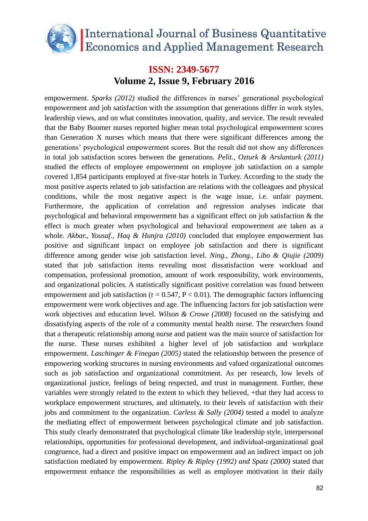

empowerment. *Sparks (2012)* studied the differences in nurses' generational psychological empowerment and job satisfaction with the assumption that generations differ in work styles, leadership views, and on what constitutes innovation, quality, and service. The result revealed that the Baby Boomer nurses reported higher mean total psychological empowerment scores than Generation X nurses which means that there were significant differences among the generations' psychological empowerment scores. But the result did not show any differences in total job satisfaction scores between the generations. *Pelit., Ozturk & Arslanturk (2011)* studied the effects of employee empowerment on employee job satisfaction on a sample covered 1,854 participants employed at five-star hotels in Turkey. According to the study the most positive aspects related to job satisfaction are relations with the colleagues and physical conditions, while the most negative aspect is the wage issue, i.e. unfair payment. Furthermore, the application of correlation and regression analyses indicate that psychological and behavioral empowerment has a significant effect on job satisfaction & the effect is much greater when psychological and behavioral empowerment are taken as a whole. *Akbar., Yousaf., Haq & Hunjra (2010)* concluded that employee empowerment has positive and significant impact on employee job satisfaction and there is significant difference among gender wise job satisfaction level. *[Ning](http://www.ncbi.nlm.nih.gov/pubmed?term=Ning%20S%5BAuthor%5D&cauthor=true&cauthor_uid=19941547)., [Zhong](http://www.ncbi.nlm.nih.gov/pubmed?term=Zhong%20H%5BAuthor%5D&cauthor=true&cauthor_uid=19941547)., [Libo](http://www.ncbi.nlm.nih.gov/pubmed?term=Libo%20W%5BAuthor%5D&cauthor=true&cauthor_uid=19941547) & [Qiujie \(](http://www.ncbi.nlm.nih.gov/pubmed?term=Qiujie%20L%5BAuthor%5D&cauthor=true&cauthor_uid=19941547)2009)* stated that job satisfaction items revealing most dissatisfaction were workload and compensation, professional promotion, amount of work responsibility, work environments, and organizational policies. A statistically significant positive correlation was found between empowerment and job satisfaction ( $r = 0.547$ ,  $P < 0.01$ ). The demographic factors influencing empowerment were work objectives and age. The influencing factors for job satisfaction were work objectives and education level. *Wilson & Crowe (2008)* focused on the satisfying and dissatisfying aspects of the role of a community mental health nurse. The researchers found that a therapeutic relationship among nurse and patient was the main source of satisfaction for the nurse. These nurses exhibited a higher level of job satisfaction and workplace empowerment. *Laschinger & Finegan (2005)* stated the relationship between the presence of empowering working structures in nursing environments and valued organizational outcomes such as job satisfaction and organizational commitment. As per research, low levels of organizational justice, feelings of being respected, and trust in management. Further, these variables were strongly related to the extent to which they believed, +that they had access to workplace empowerment structures, and ultimately, to their levels of satisfaction with their jobs and commitment to the organization. *Carless & Sally (2004)* tested a model to analyze the mediating effect of empowerment between psychological climate and job satisfaction. This study clearly demonstrated that psychological climate like leadership style, interpersonal relationships, opportunities for professional development, and individual-organizational goal congruence, had a direct and positive impact on empowerment and an indirect impact on job satisfaction mediated by empowerment. *Ripley & Ripley (1992) and Spatz (2000)* stated that empowerment enhance the responsibilities as well as employee motivation in their daily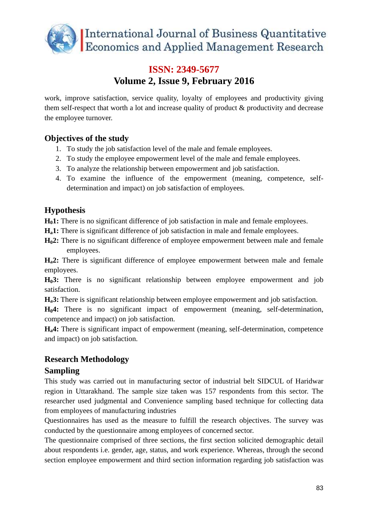

work, improve satisfaction, service quality, loyalty of employees and productivity giving them self-respect that worth a lot and increase quality of product & productivity and decrease the employee turnover.

### **Objectives of the study**

- 1. To study the job satisfaction level of the male and female employees.
- 2. To study the employee empowerment level of the male and female employees.
- 3. To analyze the relationship between empowerment and job satisfaction.
- 4. To examine the influence of the empowerment (meaning, competence, selfdetermination and impact) on job satisfaction of employees.

### **Hypothesis**

**H01:** There is no significant difference of job satisfaction in male and female employees.

**Ha1:** There is significant difference of job satisfaction in male and female employees.

**H02:** There is no significant difference of employee empowerment between male and female employees.

**Ha2:** There is significant difference of employee empowerment between male and female employees.

**H03:** There is no significant relationship between employee empowerment and job satisfaction.

**Ha3:** There is significant relationship between employee empowerment and job satisfaction.

**H04:** There is no significant impact of empowerment (meaning, self-determination, competence and impact) on job satisfaction.

**Ha4:** There is significant impact of empowerment (meaning, self-determination, competence and impact) on job satisfaction.

### **Research Methodology**

### **Sampling**

This study was carried out in manufacturing sector of industrial belt SIDCUL of Haridwar region in Uttarakhand. The sample size taken was 157 respondents from this sector. The researcher used judgmental and Convenience sampling based technique for collecting data from employees of manufacturing industries

Questionnaires has used as the measure to fulfill the research objectives. The survey was conducted by the questionnaire among employees of concerned sector.

The questionnaire comprised of three sections, the first section solicited demographic detail about respondents i.e. gender, age, status, and work experience. Whereas, through the second section employee empowerment and third section information regarding job satisfaction was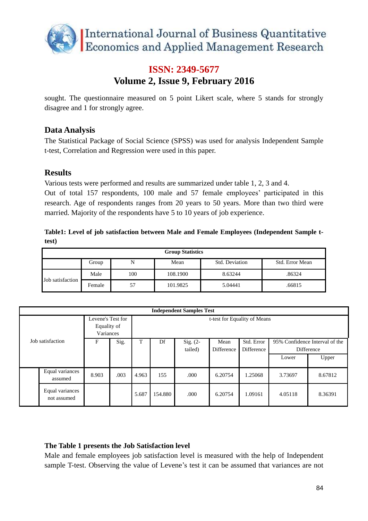

sought. The questionnaire measured on 5 point Likert scale, where 5 stands for strongly disagree and 1 for strongly agree.

#### **Data Analysis**

The Statistical Package of Social Science (SPSS) was used for analysis Independent Sample t-test, Correlation and Regression were used in this paper.

#### **Results**

Various tests were performed and results are summarized under table 1, 2, 3 and 4.

Out of total 157 respondents, 100 male and 57 female employees' participated in this research. Age of respondents ranges from 20 years to 50 years. More than two third were married. Majority of the respondents have 5 to 10 years of job experience.

|       |  |  |  |  | Table1: Level of job satisfaction between Male and Female Employees (Independent Sample t- |  |
|-------|--|--|--|--|--------------------------------------------------------------------------------------------|--|
| test) |  |  |  |  |                                                                                            |  |

| <b>Group Statistics</b> |        |     |          |                |                 |  |  |  |  |
|-------------------------|--------|-----|----------|----------------|-----------------|--|--|--|--|
|                         | Group  |     | Mean     | Std. Deviation | Std. Error Mean |  |  |  |  |
| Job satisfaction        | Male   | 100 | 108.1900 | 8.63244        | .86324          |  |  |  |  |
|                         | Female | 57  | 101.9825 | 5.04441        | .66815          |  |  |  |  |

|                  | <b>Independent Samples Test</b> |                                               |      |         |                              |                       |                    |                          |                                              |         |  |  |
|------------------|---------------------------------|-----------------------------------------------|------|---------|------------------------------|-----------------------|--------------------|--------------------------|----------------------------------------------|---------|--|--|
| Job satisfaction |                                 | Levene's Test for<br>Equality of<br>Variances |      |         | t-test for Equality of Means |                       |                    |                          |                                              |         |  |  |
|                  |                                 | F                                             | Sig. | Df<br>T |                              | Sig. $(2-$<br>tailed) | Mean<br>Difference | Std. Error<br>Difference | 95% Confidence Interval of the<br>Difference |         |  |  |
|                  |                                 |                                               |      |         |                              |                       |                    |                          | Lower                                        | Upper   |  |  |
|                  | Equal variances<br>assumed      | 8.903                                         | .003 | 4.963   | 155                          | .000                  | 6.20754            | 1.25068                  | 3.73697                                      | 8.67812 |  |  |
|                  | Equal variances<br>not assumed  |                                               |      | 5.687   | 154.880                      | .000                  | 6.20754            | 1.09161                  | 4.05118                                      | 8.36391 |  |  |

#### **The Table 1 presents the Job Satisfaction level**

Male and female employees job satisfaction level is measured with the help of Independent sample T-test. Observing the value of Levene's test it can be assumed that variances are not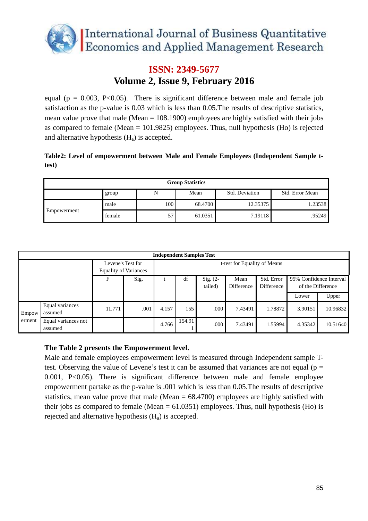

equal ( $p = 0.003$ , P<0.05). There is significant difference between male and female job satisfaction as the p-value is 0.03 which is less than 0.05.The results of descriptive statistics, mean value prove that male (Mean = 108.1900) employees are highly satisfied with their jobs as compared to female (Mean = 101.9825) employees. Thus, null hypothesis (Ho) is rejected and alternative hypothesis  $(H_a)$  is accepted.

|       |  |  |  |  | Table2: Level of empowerment between Male and Female Employees (Independent Sample t- |  |  |
|-------|--|--|--|--|---------------------------------------------------------------------------------------|--|--|
| test) |  |  |  |  |                                                                                       |  |  |

| <b>Group Statistics</b> |        |     |         |                |                 |  |  |  |  |
|-------------------------|--------|-----|---------|----------------|-----------------|--|--|--|--|
|                         | group  | N   | Mean    | Std. Deviation | Std. Error Mean |  |  |  |  |
|                         | male   | 100 | 68.4700 | 12.35375       | 1.23538         |  |  |  |  |
| Empowerment             | female | 57  | 61.0351 | 7.19118        | .95249          |  |  |  |  |

|                 | <b>Independent Samples Test</b> |        |                              |       |                              |            |            |            |                         |          |  |  |  |
|-----------------|---------------------------------|--------|------------------------------|-------|------------------------------|------------|------------|------------|-------------------------|----------|--|--|--|
|                 |                                 |        | Levene's Test for            |       | t-test for Equality of Means |            |            |            |                         |          |  |  |  |
|                 |                                 |        | <b>Equality of Variances</b> |       |                              |            |            |            |                         |          |  |  |  |
|                 |                                 | F      | Sig.                         |       | df                           | Sig. $(2-$ | Mean       | Std. Error | 95% Confidence Interval |          |  |  |  |
|                 |                                 |        |                              |       |                              | tailed)    | Difference | Difference | of the Difference       |          |  |  |  |
|                 |                                 |        |                              |       |                              |            |            |            | Lower                   | Upper    |  |  |  |
| Empow<br>erment | Equal variances<br>assumed      | 11.771 | .001                         | 4.157 | 155                          | .000       | 7.43491    | 1.78872    | 3.90151                 | 10.96832 |  |  |  |
|                 | Equal variances not<br>assumed  |        |                              | 4.766 | 154.91                       | .000       | 7.43491    | 1.55994    | 4.35342                 | 10.51640 |  |  |  |

#### **The Table 2 presents the Empowerment level.**

Male and female employees empowerment level is measured through Independent sample Ttest. Observing the value of Levene's test it can be assumed that variances are not equal ( $p =$ 0.001, P<0.05). There is significant difference between male and female employee empowerment partake as the p-value is .001 which is less than 0.05.The results of descriptive statistics, mean value prove that male (Mean = 68.4700) employees are highly satisfied with their jobs as compared to female (Mean  $= 61.0351$ ) employees. Thus, null hypothesis (Ho) is rejected and alternative hypothesis  $(H_a)$  is accepted.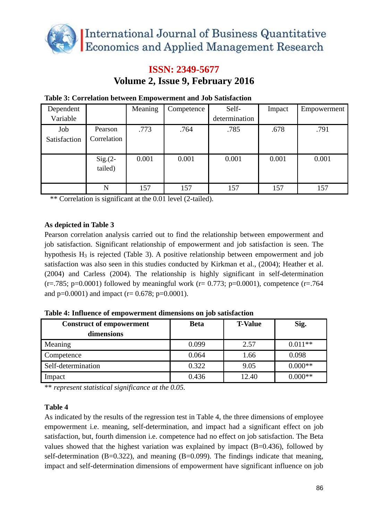

| Dependent           |                        | Meaning | Competence | Self-         | Impact | Empowerment |
|---------------------|------------------------|---------|------------|---------------|--------|-------------|
| Variable            |                        |         |            | determination |        |             |
| Job<br>Satisfaction | Pearson<br>Correlation | .773    | .764       | .785          | .678   | .791        |
|                     | $Sig(2 -$<br>tailed)   | 0.001   | 0.001      | 0.001         | 0.001  | 0.001       |
|                     | N                      | 157     | 157        | 157           | 157    | 157         |

#### **Table 3: Correlation between Empowerment and Job Satisfaction**

\*\* Correlation is significant at the 0.01 level (2-tailed).

#### **As depicted in Table 3**

Pearson correlation analysis carried out to find the relationship between empowerment and job satisfaction. Significant relationship of empowerment and job satisfaction is seen. The hypothesis  $H_3$  is rejected (Table 3). A positive relationship between empowerment and job satisfaction was also seen in this studies conducted by Kirkman et al., (2004); Heather et al. (2004) and Carless (2004). The relationship is highly significant in self-determination  $(r=.785; p=.00001)$  followed by meaningful work  $(r=.0.773; p=.0.0001)$ , competence  $(r=.764)$ and  $p=0.0001$ ) and impact (r= 0.678; p=0.0001).

| <b>Construct of empowerment</b><br>dimensions | <b>Beta</b> | <b>T-Value</b> | Sig.      |
|-----------------------------------------------|-------------|----------------|-----------|
| Meaning                                       | 0.099       | 2.57           | $0.011**$ |
| Competence                                    | 0.064       | 1.66           | 0.098     |
| Self-determination                            | 0.322       | 9.05           | $0.000**$ |
| Impact                                        | 0.436       | 12.40          | $0.000**$ |

**Table 4: Influence of empowerment dimensions on job satisfaction**

\*\* *represent statistical significance at the 0.05.*

#### **Table 4**

As indicated by the results of the regression test in Table 4, the three dimensions of employee empowerment i.e. meaning, self-determination, and impact had a significant effect on job satisfaction, but, fourth dimension i.e. competence had no effect on job satisfaction. The Beta values showed that the highest variation was explained by impact (B=0.436), followed by self-determination (B=0.322), and meaning (B=0.099). The findings indicate that meaning, impact and self-determination dimensions of empowerment have significant influence on job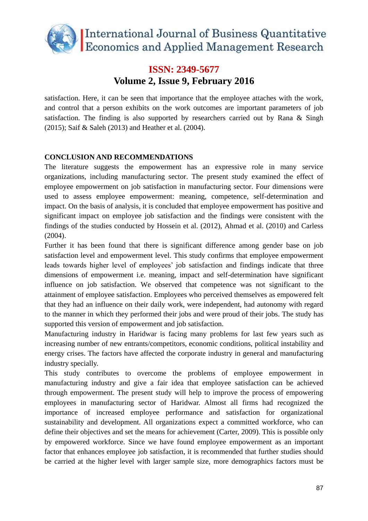

satisfaction. Here, it can be seen that importance that the employee attaches with the work, and control that a person exhibits on the work outcomes are important parameters of job satisfaction. The finding is also supported by researchers carried out by Rana & Singh (2015); Saif & Saleh (2013) and Heather et al. (2004).

#### **CONCLUSION AND RECOMMENDATIONS**

The literature suggests the empowerment has an expressive role in many service organizations, including manufacturing sector. The present study examined the effect of employee empowerment on job satisfaction in manufacturing sector. Four dimensions were used to assess employee empowerment: meaning, competence, self-determination and impact. On the basis of analysis, it is concluded that employee empowerment has positive and significant impact on employee job satisfaction and the findings were consistent with the findings of the studies conducted by Hossein et al. (2012), Ahmad et al. (2010) and Carless (2004).

Further it has been found that there is significant difference among gender base on job satisfaction level and empowerment level. This study confirms that employee empowerment leads towards higher level of employees' job satisfaction and findings indicate that three dimensions of empowerment i.e. meaning, impact and self-determination have significant influence on job satisfaction. We observed that competence was not significant to the attainment of employee satisfaction. Employees who perceived themselves as empowered felt that they had an influence on their daily work, were independent, had autonomy with regard to the manner in which they performed their jobs and were proud of their jobs. The study has supported this version of empowerment and job satisfaction.

Manufacturing industry in Haridwar is facing many problems for last few years such as increasing number of new entrants/competitors, economic conditions, political instability and energy crises. The factors have affected the corporate industry in general and manufacturing industry specially.

This study contributes to overcome the problems of employee empowerment in manufacturing industry and give a fair idea that employee satisfaction can be achieved through empowerment. The present study will help to improve the process of empowering employees in manufacturing sector of Haridwar. Almost all firms had recognized the importance of increased employee performance and satisfaction for organizational sustainability and development. All organizations expect a committed workforce, who can define their objectives and set the means for achievement (Carter, 2009). This is possible only by empowered workforce. Since we have found employee empowerment as an important factor that enhances employee job satisfaction, it is recommended that further studies should be carried at the higher level with larger sample size, more demographics factors must be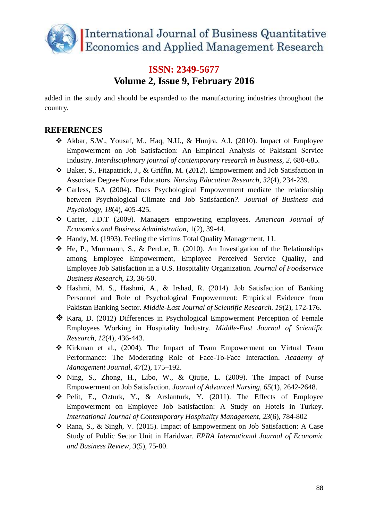

added in the study and should be expanded to the manufacturing industries throughout the country.

### **REFERENCES**

- Akbar, S.W., Yousaf, M., Haq, N.U., & Hunjra, A.I. (2010). Impact of Employee Empowerment on Job Satisfaction: An Empirical Analysis of Pakistani Service Industry. *Interdisciplinary journal of contemporary research in business, 2*, 680-685.
- Baker, S., Fitzpatrick, J., & Griffin, M. (2012). Empowerment and Job Satisfaction in Associate Degree Nurse Educators. *Nursing Education Research*, *32*(4), 234-239.
- Carless, S.A (2004). Does Psychological Empowerment mediate the relationship between Psychological Climate and Job Satisfaction*?. Journal of Business and Psychology*, *18*(4), 405-425.
- Carter, J.D.T (2009). Managers empowering employees. *American Journal of Economics and Business Administration*, 1(2), 39-44.
- Handy, M. (1993). Feeling the victims Total Quality Management, 11.
- $\triangle$  He, P., Murrmann, S., & Perdue, R. (2010). An Investigation of the Relationships among Employee Empowerment, Employee Perceived Service Quality, and Employee Job Satisfaction in a U.S. Hospitality Organization. *Journal of Foodservice Business Research, 13*, 36-50.
- Hashmi, M. S., Hashmi, A., & Irshad, R. (2014). Job Satisfaction of Banking Personnel and Role of Psychological Empowerment: Empirical Evidence from Pakistan Banking Sector. *Middle-East Journal of Scientific Research. 19*(2), 172-176.
- Kara, D. (2012) Differences in Psychological Empowerment Perception of Female Employees Working in Hospitality Industry. *Middle-East Journal of Scientific Research*, *12*(4), 436-443.
- $\div$  Kirkman et al., (2004). The Impact of Team Empowerment on Virtual Team Performance: The Moderating Role of Face-To-Face Interaction. *Academy of Management Journal*, *47*(2), 175–192.
- $\hat{\mathbf{v}}$  Ning, S., Zhong, H., Libo, W., & Qiujie, L. (2009). The Impact of Nurse Empowerment on Job Satisfaction. *Journal of Advanced Nursing, [65](http://onlinelibrary.wiley.com/doi/10.1111/jan.2009.65.issue-12/issuetoc)*(1), 2642-2648.
- Pelit, E., Ozturk, Y., & Arslanturk, Y. (2011). The Effects of Employee Empowerment on Employee Job Satisfaction: A Study on Hotels in Turkey. *International Journal of Contemporary Hospitality Management*, *23*(6), 784-802
- Rana, S., & Singh, V. (2015). Impact of Empowerment on Job Satisfaction: A Case Study of Public Sector Unit in Haridwar. *EPRA International Journal of Economic and Business Review, 3*(5), 75-80.